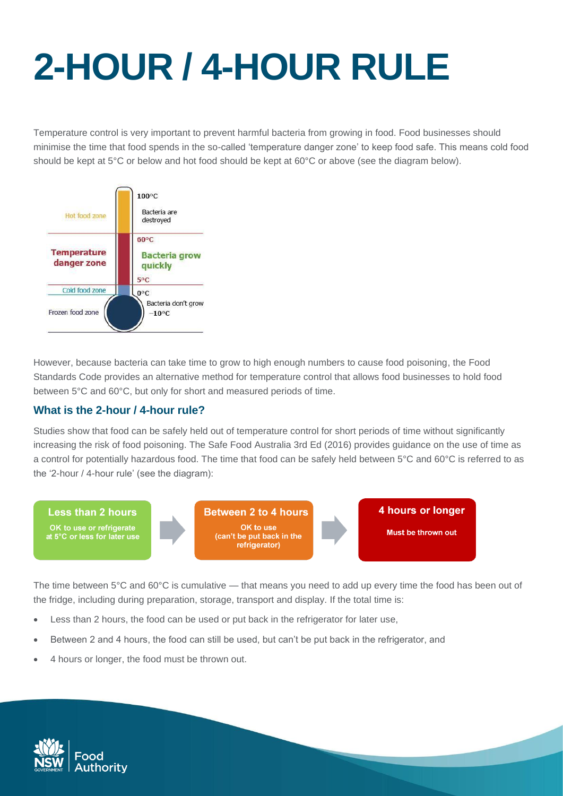## **2-HOUR / 4-HOUR RULE**

Temperature control is very important to prevent harmful bacteria from growing in food. Food businesses should minimise the time that food spends in the so-called 'temperature danger zone' to keep food safe. This means cold food should be kept at 5°C or below and hot food should be kept at 60°C or above (see the diagram below).



However, because bacteria can take time to grow to high enough numbers to cause food poisoning, the Food Standards Code provides an alternative method for temperature control that allows food businesses to hold food between 5°C and 60°C, but only for short and measured periods of time.

## **What is the 2-hour / 4-hour rule?**

Studies show that food can be safely held out of temperature control for short periods of time without significantly increasing the risk of food poisoning. The Safe Food Australia 3rd Ed (2016) provides guidance on the use of time as a control for potentially hazardous food. The time that food can be safely held between 5°C and 60°C is referred to as the '2-hour / 4-hour rule' (see the diagram):



The time between 5°C and 60°C is cumulative — that means you need to add up every time the food has been out of the fridge, including during preparation, storage, transport and display. If the total time is:

- Less than 2 hours, the food can be used or put back in the refrigerator for later use,
- Between 2 and 4 hours, the food can still be used, but can't be put back in the refrigerator, and
- 4 hours or longer, the food must be thrown out.